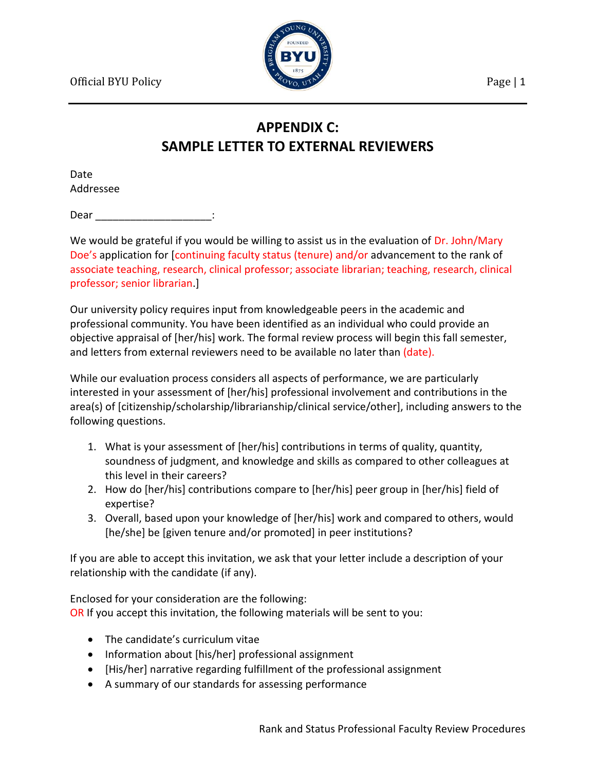

## **APPENDIX C: SAMPLE LETTER TO EXTERNAL REVIEWERS**

Date Addressee

Dear :

We would be grateful if you would be willing to assist us in the evaluation of Dr. John/Mary Doe's application for [continuing faculty status (tenure) and/or advancement to the rank of associate teaching, research, clinical professor; associate librarian; teaching, research, clinical professor; senior librarian.]

Our university policy requires input from knowledgeable peers in the academic and professional community. You have been identified as an individual who could provide an objective appraisal of [her/his] work. The formal review process will begin this fall semester, and letters from external reviewers need to be available no later than (date).

While our evaluation process considers all aspects of performance, we are particularly interested in your assessment of [her/his] professional involvement and contributions in the area(s) of [citizenship/scholarship/librarianship/clinical service/other], including answers to the following questions.

- 1. What is your assessment of [her/his] contributions in terms of quality, quantity, soundness of judgment, and knowledge and skills as compared to other colleagues at this level in their careers?
- 2. How do [her/his] contributions compare to [her/his] peer group in [her/his] field of expertise?
- 3. Overall, based upon your knowledge of [her/his] work and compared to others, would [he/she] be [given tenure and/or promoted] in peer institutions?

If you are able to accept this invitation, we ask that your letter include a description of your relationship with the candidate (if any).

Enclosed for your consideration are the following: OR If you accept this invitation, the following materials will be sent to you:

- The candidate's curriculum vitae
- Information about [his/her] professional assignment
- [His/her] narrative regarding fulfillment of the professional assignment
- A summary of our standards for assessing performance